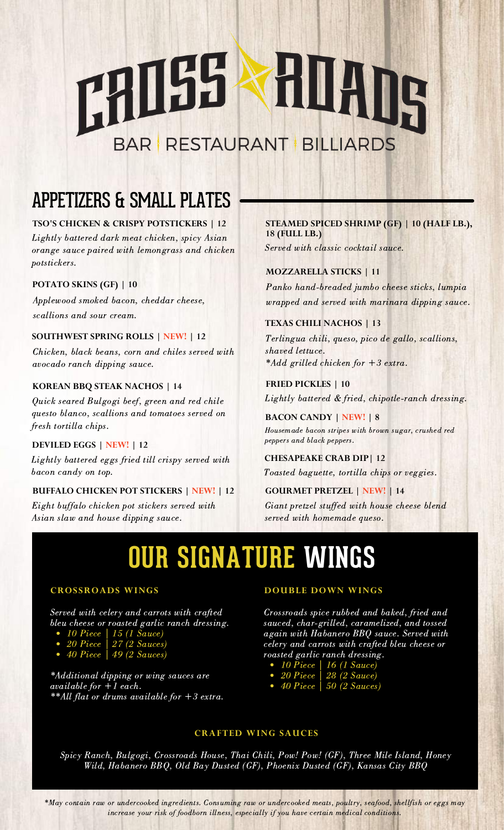# 18055 HUADS **BAR RESTAURANT BILLIARDS**

# APPETIZERS & SMALL PLATES

# **TSO'S CHICKEN & CRISPY POTSTICKERS | 12**

Lightly battered dark meat chicken, spicy Asian orange sauce paired with lemongrass and chicken potstickers.

## **POTATO SKINS (GF) | 10**

Applewood smoked bacon, cheddar cheese, scallions and sour cream.

### **SOUTHWEST SPRING ROLLS | NEW! | 12**

Chicken, black beans, corn and chiles served with avocado ranch dipping sauce.

### **KOREAN BBQ STEAK NACHOS | 14**

Quick seared Bulgogi beef, green and red chile questo blanco, scallions and tomatoes served on fresh tortilla chips.

# **DEVILED EGGS | NEW! | 12**

Lightly battered eggs fried till crispy served with bacon candy on top.

### **BUFFALO CHICKEN POT STICKERS | NEW! | 12**

Eight buffalo chicken pot stickers served with Asian slaw and house dipping sauce.

# **STEAMED SPICED SHRIMP (GF) | 10 (HALF LB.), 18 (FULL LB.)**

Served with classic cocktail sauce.

# **MOZZARELLA STICKS | 11**

Panko hand-breaded jumbo cheese sticks, lumpia wrapped and served with marinara dipping sauce.

## **TEXAS CHILI NACHOS | 13**

Terlingua chili, queso, pico de gallo, scallions, shaved lettuce. \*Add grilled chicken for +3 extra.

## **FRIED PICKLES | 10**

Lightly battered & fried, chipotle-ranch dressing.

### **BACON CANDY | NEW! | 8**

Housemade bacon stripes with brown sugar, crushed red peppers and black peppers.

### **CHESAPEAKE CRAB DIP| 12**

Toasted baguette, tortilla chips or veggies.

# **GOURMET PRETZEL | NEW! | 14**

Giant pretzel stuffed with house cheese blend served with homemade queso.

# **OUR SIGNATURE WINGS**

#### **CROSSROADS WINGS**

Served with celery and carrots with crafted bleu cheese or roasted garlic ranch dressing.

- 10 Piece | 15 (1 Sauce)
- 20 Piece | 27 (2 Sauces)
- $\bullet$  40 Piece | 49 (2 Sauces)

\*Additional dipping or wing sauces are available for  $+1$  each. \*\*All flat or drums available for  $+3$  extra.

#### **DOUBLE DOWN WINGS**

Crossroads spice rubbed and baked, fried and sauced, char-grilled, caramelized, and tossed again with Habanero BBQ sauce. Served with celery and carrots with crafted bleu cheese or roasted garlic ranch dressing.

- 10 Piece | 16 (1 Sauce)
- 20 Piece | 28 (2 Sauce)
- $\bullet$  40 Piece | 50 (2 Sauces)

#### **CRAFTED WING SAUCES**

Spicy Ranch, Bulgogi, Crossroads House, Thai Chili, Pow! Pow! (GF), Three Mile Island, Honey Wild, Habanero BBQ, Old Bay Dusted (GF), Phoenix Dusted (GF), Kansas City BBQ

\*May contain raw or undercooked ingredients. Consuming raw or undercooked meats, poultry, seafood, shellfish or eggs may increase your risk of foodborn illness, especially if you have certain medical conditions.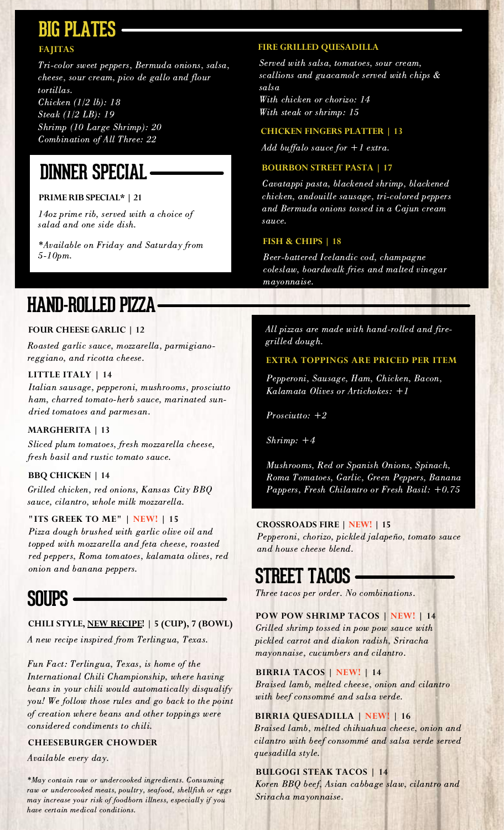# **BIG PLATES**

# **FAJITAS**

Tri-color sweet peppers, Bermuda onions, salsa, cheese, sour cream, pico de gallo and flour tortillas. Chicken (1/2 lb): 18 Steak (1/2 LB): 19 Shrimp (10 Large Shrimp): 20

Combination of All Three: 22

# **DINNER SPECIAL**

## **PRIME RIB SPECIAL\* | 21**

14oz prime rib, served with a choice of salad and one side dish.

\*Available on Friday and Saturday from 5-10pm.

### **FIRE GRILLED QUESADILLA**

Served with salsa, tomatoes, sour cream, scallions and guacamole served with chips & salsa With chicken or chorizo: 14 With steak or shrimp: 15

#### **CHICKEN FINGERS PLATTER | 13**

Add buffalo sauce for  $+1$  extra.

#### **BOURBON STREET PASTA | 17**

Cavatappi pasta, blackened shrimp, blackened chicken, andouille sausage, tri-colored peppers and Bermuda onions tossed in a Cajun cream sauce.

#### **FISH & CHIPS | 18**

Beer-battered Icelandic cod, champagne coleslaw, boardwalk fries and malted vinegar mayonnaise.

# **HAND-ROLLED PIZZA**

### **FOUR CHEESE GARLIC | 12**

Roasted garlic sauce, mozzarella, parmigianoreggiano, and ricotta cheese.

#### **LITTLE ITALY | 14**

Italian sausage, pepperoni, mushrooms, prosciutto ham, charred tomato-herb sauce, marinated sundried tomatoes and parmesan.

#### **MARGHERITA | 13**

Sliced plum tomatoes, fresh mozzarella cheese, fresh basil and rustic tomato sauce.

#### **BBQ CHICKEN | 14**

Grilled chicken, red onions, Kansas City BBQ sauce, cilantro, whole milk mozzarella.

#### **"ITS GREEK TO ME" | NEW! | 15**

Pizza dough brushed with garlic olive oil and topped with mozzarella and feta cheese, roasted red peppers, Roma tomatoes, kalamata olives, red onion and banana peppers.

# **SOUPS**

### **CHILI STYLE, NEW RECIPE! | 5 (CUP), 7 (BOWL)**

A new recipe inspired from Terlingua, Texas.

Fun Fact: Terlingua, Texas, is home of the International Chili Championship, where having beans in your chili would automatically disqualify you! We follow those rules and go back to the point of creation where beans and other toppings were considered condiments to chili.

#### **CHEESEBURGER CHOWDER**

Available every day.

\*May contain raw or undercooked ingredients. Consuming raw or undercooked meats, poultry, seafood, shellfish or eggs may increase your risk of foodborn illness, especially if you have certain medical conditions.

All pizzas are made with hand-rolled and firegrilled dough.

#### **EXTRA TOPPINGS ARE PRICED PER ITEM**

Pepperoni, Sausage, Ham, Chicken, Bacon, Kalamata Olives or Artichokes: +1

 $Prosciutto: +2$ 

Shrimp: +4

Mushrooms, Red or Spanish Onions, Spinach, Roma Tomatoes, Garlic, Green Peppers, Banana Pappers, Fresh Chilantro or Fresh Basil: +0.75

#### **CROSSROADS FIRE | NEW! | 15**

Pepperoni, chorizo, pickled jalapeño, tomato sauce and house cheese blend.

# **STREET TACOS**

Three tacos per order. No combinations.

### **POW POW SHRIMP TACOS | NEW! | 14**

Grilled shrimp tossed in pow pow sauce with pickled carrot and diakon radish, Sriracha mayonnaise, cucumbers and cilantro.

#### **BIRRIA TACOS | NEW! | 14**

Braised lamb, melted cheese, onion and cilantro with beef consommé and salsa verde.

#### **BIRRIA QUESADILLA | NEW! | 16**

Braised lamb, melted chihuahua cheese, onion and cilantro with beef consommé and salsa verde served quesadilla style.

#### **BULGOGI STEAK TACOS | 14**

Koren BBQ beef, Asian cabbage slaw, cilantro and Sriracha mayonnaise.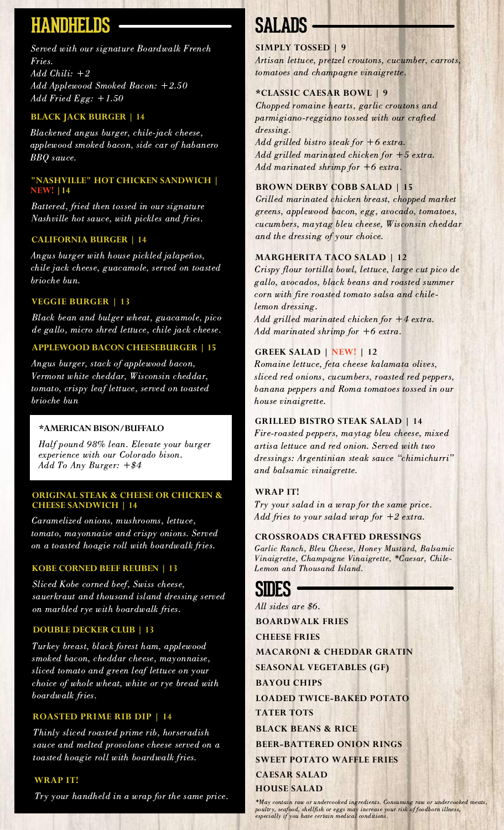# **HANDHELDS**

Served with our signature Boardwalk French Fries. Add Chili: +2 Add Applewood Smoked Bacon: +2.50 Add Fried Egg: +1.50

#### **BLACK JACK BURGER | 14**

Blackened angus burger, chile-jack cheese, applewood smoked bacon, side car of habanero BBQ sauce.

#### **"NASHVILLE" HOT CHICKEN SANDWICH | NEW! |14**

Battered, fried then tossed in our signature Nashville hot sauce, with pickles and fries.

#### **CALIFORNIA BURGER | 14**

Angus burger with house pickled jalapeños, chile jack cheese, guacamole, served on toasted brioche bun.

#### **VEGGIE BURGER | 13**

Black bean and bulger wheat, guacamole, pico de gallo, micro shred lettuce, chile jack cheese.

### **APPLEWOOD BACON CHEESEBURGER | 15**

Angus burger, stack of applewood bacon, Vermont white cheddar, Wisconsin cheddar, tomato, crispy leaf lettuce, served on toasted brioche bun

#### **\*AMERICANBISON/BUFFALO**

Half pound 98% lean. Elevate your burger experience with our Colorado bison. Add To Any Burger:  $+ $4$ 

#### **ORIGINAL STEAK & CHEESE OR CHICKEN & CHEESE SANDWICH | 14**

Caramelized onions, mushrooms, lettuce, tomato, mayonnaise and crispy onions. Served on a toasted hoagie roll with boardwalk fries.

#### **KOBE CORNED BEEF REUBEN | 13**

Sliced Kobe corned beef, Swiss cheese, sauerkraut and thousand island dressing served on marbled rye with boardwalk fries.

#### **DOUBLE DECKER CLUB | 13**

Turkey breast, black forest ham, applewood smoked bacon, cheddar cheese, mayonnaise, sliced tomato and green leaf lettuce on your choice of whole wheat, white or rye bread with boardwalk fries.

#### **ROASTED PRIME RIB DIP | 14**

Thinly sliced roasted prime rib, horseradish sauce and melted provolone cheese served on a toasted hoagie roll with boardwalk fries.

#### **WRAP IT!**

Try your handheld in a wrap for the same price.

# **SALADS**

#### **SIMPLY TOSSED | 9**

Artisan lettuce, pretzel croutons, cucumber, carrots, tomatoes and champagne vinaigrette.

#### **\*CLASSIC CAESAR BOWL | 9**

Chopped romaine hearts, garlic croutons and parmigiano-reggiano tossed with our crafted dressing.

Add grilled bistro steak for  $+6$  extra. Add grilled marinated chicken for +5 extra. Add marinated shrimp for +6 extra.

#### **BROWN DERBY COBB SALAD | 15**

Grilled marinated chicken breast, chopped market greens, applewood bacon, egg, avocado, tomatoes, cucumbers, maytag bleu cheese, Wisconsin cheddar and the dressing of your choice.

#### **MARGHERITA TACO SALAD | 12**

Crispy flour tortilla bowl, lettuce, large cut pico de gallo, avocados, black beans and roasted summer corn with fire roasted tomato salsa and chilelemon dressing. Add grilled marinated chicken for +4 extra. Add marinated shrimp for +6 extra.

#### **GREEK SALAD | NEW! | 12**

Romaine lettuce, feta cheese kalamata olives, sliced red onions, cucumbers, roasted red peppers, banana peppers and Roma tomatoes tossed in our house vinaigrette.

#### **GRILLED BISTRO STEAK SALAD | 14**

Fire-roasted peppers, maytag bleu cheese, mixed artisa lettuce and red onion. Served with two dressings: Argentinian steak sauce "chimichurri" and balsamic vinaigrette.

#### **WRAP IT!**

Try your salad in a wrap for the same price. Add fries to your salad wrap for  $+2$  extra.

#### **CROSSROADS CRAFTED DRESSINGS**

Garlic Ranch, Bleu Cheese, Honey Mustard, Balsamic Vinaigrette, Champagne Vinaigrette, \*Caesar, Chile-Lemon and Thousand Island.

# **SIDES**

All sides are \$6. **BOARDWALK FRIES CHEESE FRIES MACARONI & CHEDDAR GRATIN SEASONAL VEGETABLES (GF) BAYOU CHIPS LOADED TWICE-BAKED POTATO TATER TOTS BLACK BEANS & RICE BEER-BATTERED ONION RINGS SWEET POTATO WAFFLE FRIES CAESAR SALAD HOUSE SALAD**

\*May contain raw or undercooked ingredients. Consuming raw or undercooked meats, poultry, seafood, shellfish or eggs may increase your risk of foodborn illness, especially if you have certain medical conditions.